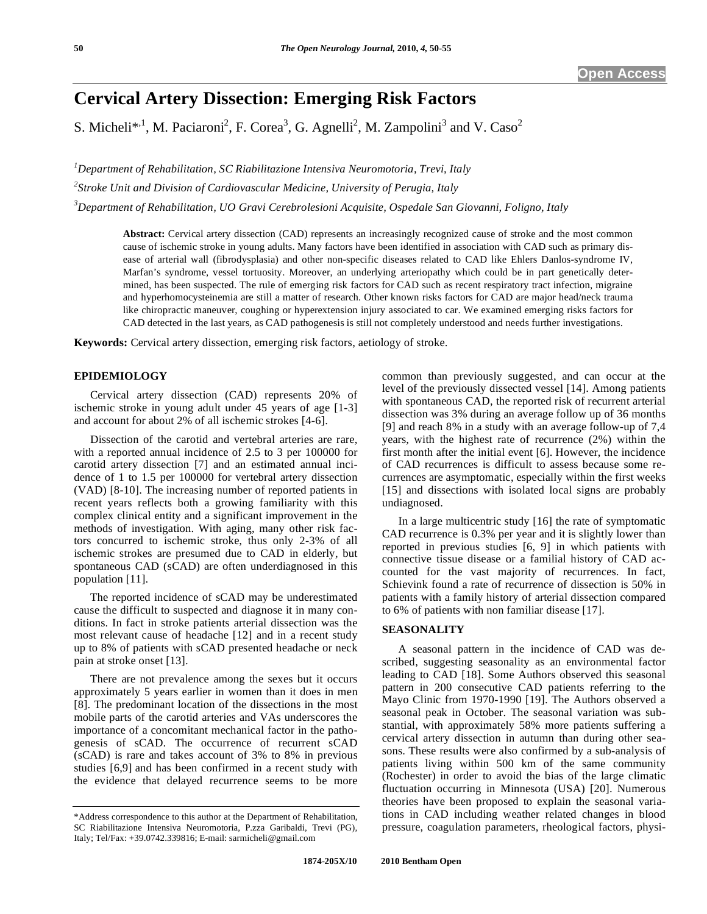# **Cervical Artery Dissection: Emerging Risk Factors**

S. Micheli\*<sup>1</sup>, M. Paciaroni<sup>2</sup>, F. Corea<sup>3</sup>, G. Agnelli<sup>2</sup>, M. Zampolini<sup>3</sup> and V. Caso<sup>2</sup>

*1 Department of Rehabilitation, SC Riabilitazione Intensiva Neuromotoria, Trevi, Italy 2 Stroke Unit and Division of Cardiovascular Medicine, University of Perugia, Italy 3 Department of Rehabilitation, UO Gravi Cerebrolesioni Acquisite, Ospedale San Giovanni, Foligno, Italy* 

**Abstract:** Cervical artery dissection (CAD) represents an increasingly recognized cause of stroke and the most common cause of ischemic stroke in young adults. Many factors have been identified in association with CAD such as primary disease of arterial wall (fibrodysplasia) and other non-specific diseases related to CAD like Ehlers Danlos-syndrome IV, Marfan's syndrome, vessel tortuosity. Moreover, an underlying arteriopathy which could be in part genetically determined, has been suspected. The rule of emerging risk factors for CAD such as recent respiratory tract infection, migraine and hyperhomocysteinemia are still a matter of research. Other known risks factors for CAD are major head/neck trauma like chiropractic maneuver, coughing or hyperextension injury associated to car. We examined emerging risks factors for CAD detected in the last years, as CAD pathogenesis is still not completely understood and needs further investigations.

**Keywords:** Cervical artery dissection, emerging risk factors, aetiology of stroke.

# **EPIDEMIOLOGY**

 Cervical artery dissection (CAD) represents 20% of ischemic stroke in young adult under 45 years of age [1-3] and account for about 2% of all ischemic strokes [4-6].

 Dissection of the carotid and vertebral arteries are rare, with a reported annual incidence of 2.5 to 3 per 100000 for carotid artery dissection [7] and an estimated annual incidence of 1 to 1.5 per 100000 for vertebral artery dissection (VAD) [8-10]. The increasing number of reported patients in recent years reflects both a growing familiarity with this complex clinical entity and a significant improvement in the methods of investigation. With aging, many other risk factors concurred to ischemic stroke, thus only 2-3% of all ischemic strokes are presumed due to CAD in elderly, but spontaneous CAD (sCAD) are often underdiagnosed in this population [11].

 The reported incidence of sCAD may be underestimated cause the difficult to suspected and diagnose it in many conditions. In fact in stroke patients arterial dissection was the most relevant cause of headache [12] and in a recent study up to 8% of patients with sCAD presented headache or neck pain at stroke onset [13].

 There are not prevalence among the sexes but it occurs approximately 5 years earlier in women than it does in men [8]. The predominant location of the dissections in the most mobile parts of the carotid arteries and VAs underscores the importance of a concomitant mechanical factor in the pathogenesis of sCAD. The occurrence of recurrent sCAD (sCAD) is rare and takes account of 3% to 8% in previous studies [6,9] and has been confirmed in a recent study with the evidence that delayed recurrence seems to be more

common than previously suggested, and can occur at the level of the previously dissected vessel [14]. Among patients with spontaneous CAD, the reported risk of recurrent arterial dissection was 3% during an average follow up of 36 months [9] and reach 8% in a study with an average follow-up of 7,4 years, with the highest rate of recurrence (2%) within the first month after the initial event [6]. However, the incidence of CAD recurrences is difficult to assess because some recurrences are asymptomatic, especially within the first weeks [15] and dissections with isolated local signs are probably undiagnosed.

 In a large multicentric study [16] the rate of symptomatic CAD recurrence is 0.3% per year and it is slightly lower than reported in previous studies [6, 9] in which patients with connective tissue disease or a familial history of CAD accounted for the vast majority of recurrences. In fact, Schievink found a rate of recurrence of dissection is 50% in patients with a family history of arterial dissection compared to 6% of patients with non familiar disease [17].

# **SEASONALITY**

 A seasonal pattern in the incidence of CAD was described, suggesting seasonality as an environmental factor leading to CAD [18]. Some Authors observed this seasonal pattern in 200 consecutive CAD patients referring to the Mayo Clinic from 1970-1990 [19]. The Authors observed a seasonal peak in October. The seasonal variation was substantial, with approximately 58% more patients suffering a cervical artery dissection in autumn than during other seasons. These results were also confirmed by a sub-analysis of patients living within 500 km of the same community (Rochester) in order to avoid the bias of the large climatic fluctuation occurring in Minnesota (USA) [20]. Numerous theories have been proposed to explain the seasonal variations in CAD including weather related changes in blood pressure, coagulation parameters, rheological factors, physi-

<sup>\*</sup>Address correspondence to this author at the Department of Rehabilitation, SC Riabilitazione Intensiva Neuromotoria, P.zza Garibaldi, Trevi (PG), Italy; Tel/Fax: +39.0742.339816; E-mail: sarmicheli@gmail.com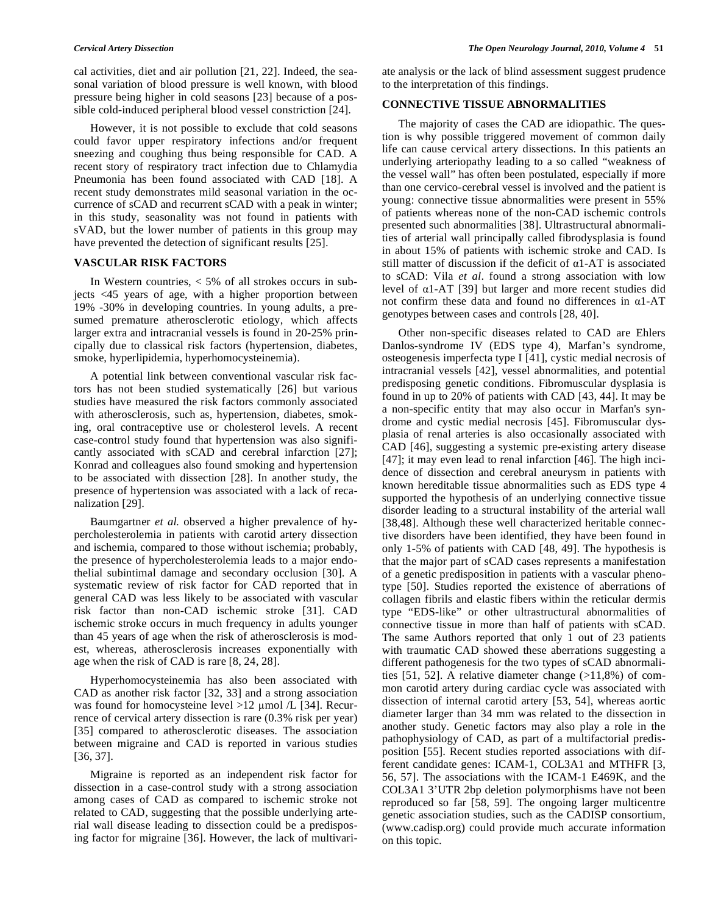cal activities, diet and air pollution [21, 22]. Indeed, the seasonal variation of blood pressure is well known, with blood pressure being higher in cold seasons [23] because of a possible cold-induced peripheral blood vessel constriction [24].

 However, it is not possible to exclude that cold seasons could favor upper respiratory infections and/or frequent sneezing and coughing thus being responsible for CAD. A recent story of respiratory tract infection due to Chlamydia Pneumonia has been found associated with CAD [18]. A recent study demonstrates mild seasonal variation in the occurrence of sCAD and recurrent sCAD with a peak in winter; in this study, seasonality was not found in patients with sVAD, but the lower number of patients in this group may have prevented the detection of significant results [25].

## **VASCULAR RISK FACTORS**

 In Western countries, < 5% of all strokes occurs in subjects <45 years of age, with a higher proportion between 19% -30% in developing countries. In young adults, a presumed premature atherosclerotic etiology, which affects larger extra and intracranial vessels is found in 20-25% principally due to classical risk factors (hypertension, diabetes, smoke, hyperlipidemia, hyperhomocysteinemia).

 A potential link between conventional vascular risk factors has not been studied systematically [26] but various studies have measured the risk factors commonly associated with atherosclerosis, such as, hypertension, diabetes, smoking, oral contraceptive use or cholesterol levels. A recent case-control study found that hypertension was also significantly associated with sCAD and cerebral infarction [27]; Konrad and colleagues also found smoking and hypertension to be associated with dissection [28]. In another study, the presence of hypertension was associated with a lack of recanalization [29].

 Baumgartner *et al.* observed a higher prevalence of hypercholesterolemia in patients with carotid artery dissection and ischemia, compared to those without ischemia; probably, the presence of hypercholesterolemia leads to a major endothelial subintimal damage and secondary occlusion [30]. A systematic review of risk factor for CAD reported that in general CAD was less likely to be associated with vascular risk factor than non-CAD ischemic stroke [31]. CAD ischemic stroke occurs in much frequency in adults younger than 45 years of age when the risk of atherosclerosis is modest, whereas, atherosclerosis increases exponentially with age when the risk of CAD is rare [8, 24, 28].

 Hyperhomocysteinemia has also been associated with CAD as another risk factor [32, 33] and a strong association was found for homocysteine level  $>12 \mu$ mol /L [34]. Recurrence of cervical artery dissection is rare (0.3% risk per year) [35] compared to atherosclerotic diseases. The association between migraine and CAD is reported in various studies [36, 37].

 Migraine is reported as an independent risk factor for dissection in a case-control study with a strong association among cases of CAD as compared to ischemic stroke not related to CAD, suggesting that the possible underlying arterial wall disease leading to dissection could be a predisposing factor for migraine [36]. However, the lack of multivariate analysis or the lack of blind assessment suggest prudence to the interpretation of this findings.

# **CONNECTIVE TISSUE ABNORMALITIES**

 The majority of cases the CAD are idiopathic. The question is why possible triggered movement of common daily life can cause cervical artery dissections. In this patients an underlying arteriopathy leading to a so called "weakness of the vessel wall" has often been postulated, especially if more than one cervico-cerebral vessel is involved and the patient is young: connective tissue abnormalities were present in 55% of patients whereas none of the non-CAD ischemic controls presented such abnormalities [38]. Ultrastructural abnormalities of arterial wall principally called fibrodysplasia is found in about 15% of patients with ischemic stroke and CAD. Is still matter of discussion if the deficit of  $\alpha$ 1-AT is associated to sCAD: Vila *et al*. found a strong association with low level of  $\alpha$ 1-AT [39] but larger and more recent studies did not confirm these data and found no differences in  $\alpha$ 1-AT genotypes between cases and controls [28, 40].

 Other non-specific diseases related to CAD are Ehlers Danlos-syndrome IV (EDS type 4), Marfan's syndrome, osteogenesis imperfecta type I [41], cystic medial necrosis of intracranial vessels [42], vessel abnormalities, and potential predisposing genetic conditions. Fibromuscular dysplasia is found in up to 20% of patients with CAD [43, 44]. It may be a non-specific entity that may also occur in Marfan's syndrome and cystic medial necrosis [45]. Fibromuscular dysplasia of renal arteries is also occasionally associated with CAD [46], suggesting a systemic pre-existing artery disease [47]; it may even lead to renal infarction [46]. The high incidence of dissection and cerebral aneurysm in patients with known hereditable tissue abnormalities such as EDS type 4 supported the hypothesis of an underlying connective tissue disorder leading to a structural instability of the arterial wall [38,48]. Although these well characterized heritable connective disorders have been identified, they have been found in only 1-5% of patients with CAD [48, 49]. The hypothesis is that the major part of sCAD cases represents a manifestation of a genetic predisposition in patients with a vascular phenotype [50]. Studies reported the existence of aberrations of collagen fibrils and elastic fibers within the reticular dermis type "EDS-like" or other ultrastructural abnormalities of connective tissue in more than half of patients with sCAD. The same Authors reported that only 1 out of 23 patients with traumatic CAD showed these aberrations suggesting a different pathogenesis for the two types of sCAD abnormalities [51, 52]. A relative diameter change  $(>11,8\%)$  of common carotid artery during cardiac cycle was associated with dissection of internal carotid artery [53, 54], whereas aortic diameter larger than 34 mm was related to the dissection in another study. Genetic factors may also play a role in the pathophysiology of CAD, as part of a multifactorial predisposition [55]. Recent studies reported associations with different candidate genes: ICAM-1, COL3A1 and MTHFR [3, 56, 57]. The associations with the ICAM-1 E469K, and the COL3A1 3'UTR 2bp deletion polymorphisms have not been reproduced so far [58, 59]. The ongoing larger multicentre genetic association studies, such as the CADISP consortium, (www.cadisp.org) could provide much accurate information on this topic.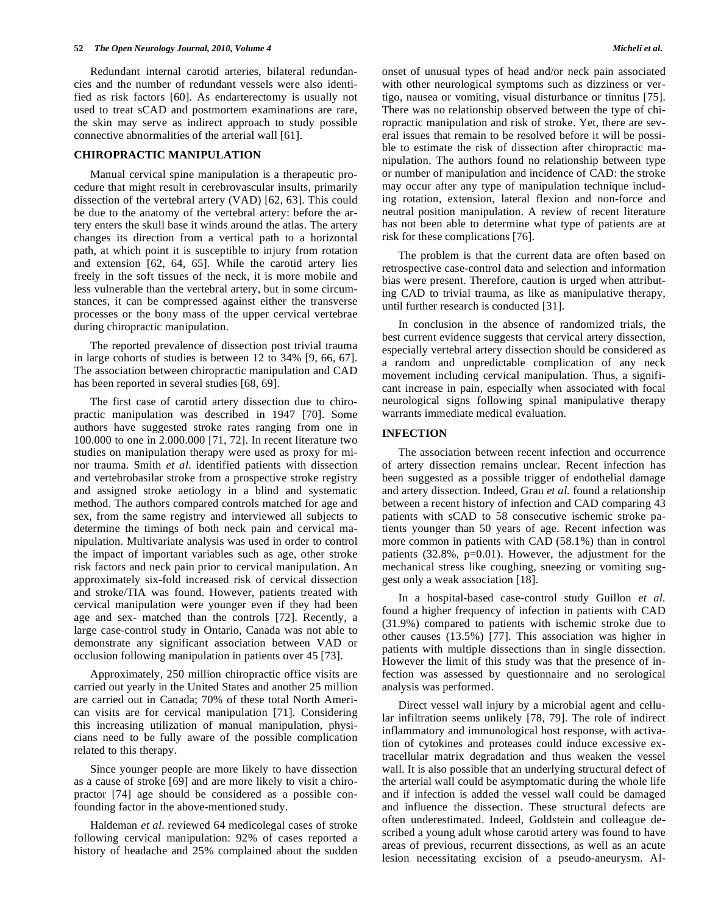Redundant internal carotid arteries, bilateral redundancies and the number of redundant vessels were also identified as risk factors [60]. As endarterectomy is usually not used to treat sCAD and postmortem examinations are rare, the skin may serve as indirect approach to study possible connective abnormalities of the arterial wall [61].

# **CHIROPRACTIC MANIPULATION**

 Manual cervical spine manipulation is a therapeutic procedure that might result in cerebrovascular insults, primarily dissection of the vertebral artery (VAD) [62, 63]. This could be due to the anatomy of the vertebral artery: before the artery enters the skull base it winds around the atlas. The artery changes its direction from a vertical path to a horizontal path, at which point it is susceptible to injury from rotation and extension [62, 64, 65]. While the carotid artery lies freely in the soft tissues of the neck, it is more mobile and less vulnerable than the vertebral artery, but in some circumstances, it can be compressed against either the transverse processes or the bony mass of the upper cervical vertebrae during chiropractic manipulation.

 The reported prevalence of dissection post trivial trauma in large cohorts of studies is between 12 to 34% [9, 66, 67]. The association between chiropractic manipulation and CAD has been reported in several studies [68, 69].

 The first case of carotid artery dissection due to chiropractic manipulation was described in 1947 [70]. Some authors have suggested stroke rates ranging from one in 100.000 to one in 2.000.000 [71, 72]. In recent literature two studies on manipulation therapy were used as proxy for minor trauma. Smith *et al*. identified patients with dissection and vertebrobasilar stroke from a prospective stroke registry and assigned stroke aetiology in a blind and systematic method. The authors compared controls matched for age and sex, from the same registry and interviewed all subjects to determine the timings of both neck pain and cervical manipulation. Multivariate analysis was used in order to control the impact of important variables such as age, other stroke risk factors and neck pain prior to cervical manipulation. An approximately six-fold increased risk of cervical dissection and stroke/TIA was found. However, patients treated with cervical manipulation were younger even if they had been age and sex- matched than the controls [72]. Recently, a large case-control study in Ontario, Canada was not able to demonstrate any significant association between VAD or occlusion following manipulation in patients over 45 [73].

 Approximately, 250 million chiropractic office visits are carried out yearly in the United States and another 25 million are carried out in Canada; 70% of these total North American visits are for cervical manipulation [71]. Considering this increasing utilization of manual manipulation, physicians need to be fully aware of the possible complication related to this therapy.

 Since younger people are more likely to have dissection as a cause of stroke [69] and are more likely to visit a chiropractor [74] age should be considered as a possible confounding factor in the above-mentioned study.

 Haldeman *et al*. reviewed 64 medicolegal cases of stroke following cervical manipulation: 92% of cases reported a history of headache and 25% complained about the sudden onset of unusual types of head and/or neck pain associated with other neurological symptoms such as dizziness or vertigo, nausea or vomiting, visual disturbance or tinnitus [75]. There was no relationship observed between the type of chiropractic manipulation and risk of stroke. Yet, there are several issues that remain to be resolved before it will be possible to estimate the risk of dissection after chiropractic manipulation. The authors found no relationship between type or number of manipulation and incidence of CAD: the stroke may occur after any type of manipulation technique including rotation, extension, lateral flexion and non-force and neutral position manipulation. A review of recent literature has not been able to determine what type of patients are at risk for these complications [76].

 The problem is that the current data are often based on retrospective case-control data and selection and information bias were present. Therefore, caution is urged when attributing CAD to trivial trauma, as like as manipulative therapy, until further research is conducted [31].

 In conclusion in the absence of randomized trials, the best current evidence suggests that cervical artery dissection, especially vertebral artery dissection should be considered as a random and unpredictable complication of any neck movement including cervical manipulation. Thus, a significant increase in pain, especially when associated with focal neurological signs following spinal manipulative therapy warrants immediate medical evaluation.

### **INFECTION**

 The association between recent infection and occurrence of artery dissection remains unclear. Recent infection has been suggested as a possible trigger of endothelial damage and artery dissection. Indeed, Grau *et al.* found a relationship between a recent history of infection and CAD comparing 43 patients with sCAD to 58 consecutive ischemic stroke patients younger than 50 years of age. Recent infection was more common in patients with CAD (58.1%) than in control patients (32.8%, p=0.01). However, the adjustment for the mechanical stress like coughing, sneezing or vomiting suggest only a weak association [18].

 In a hospital-based case-control study Guillon *et al.* found a higher frequency of infection in patients with CAD (31.9%) compared to patients with ischemic stroke due to other causes (13.5%) [77]. This association was higher in patients with multiple dissections than in single dissection. However the limit of this study was that the presence of infection was assessed by questionnaire and no serological analysis was performed.

 Direct vessel wall injury by a microbial agent and cellular infiltration seems unlikely [78, 79]. The role of indirect inflammatory and immunological host response, with activation of cytokines and proteases could induce excessive extracellular matrix degradation and thus weaken the vessel wall. It is also possible that an underlying structural defect of the arterial wall could be asymptomatic during the whole life and if infection is added the vessel wall could be damaged and influence the dissection. These structural defects are often underestimated. Indeed, Goldstein and colleague described a young adult whose carotid artery was found to have areas of previous, recurrent dissections, as well as an acute lesion necessitating excision of a pseudo-aneurysm. Al-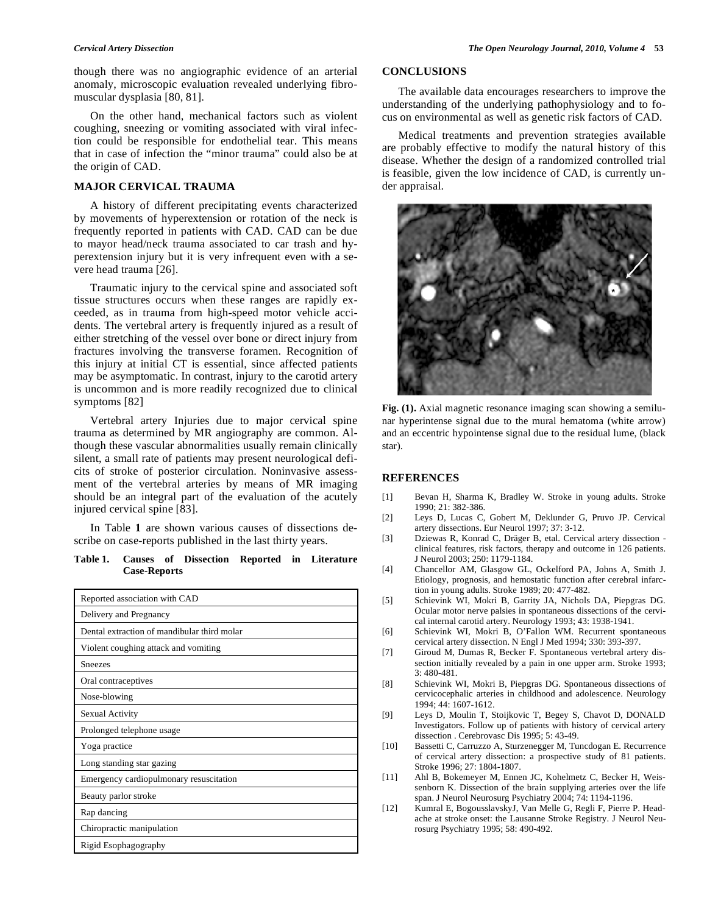though there was no angiographic evidence of an arterial anomaly, microscopic evaluation revealed underlying fibromuscular dysplasia [80, 81].

 On the other hand, mechanical factors such as violent coughing, sneezing or vomiting associated with viral infection could be responsible for endothelial tear. This means that in case of infection the "minor trauma" could also be at the origin of CAD.

# **MAJOR CERVICAL TRAUMA**

 A history of different precipitating events characterized by movements of hyperextension or rotation of the neck is frequently reported in patients with CAD. CAD can be due to mayor head/neck trauma associated to car trash and hyperextension injury but it is very infrequent even with a severe head trauma [26].

 Traumatic injury to the cervical spine and associated soft tissue structures occurs when these ranges are rapidly exceeded, as in trauma from high-speed motor vehicle accidents. The vertebral artery is frequently injured as a result of either stretching of the vessel over bone or direct injury from fractures involving the transverse foramen. Recognition of this injury at initial CT is essential, since affected patients may be asymptomatic. In contrast, injury to the carotid artery is uncommon and is more readily recognized due to clinical symptoms [82]

 Vertebral artery Injuries due to major cervical spine trauma as determined by MR angiography are common. Although these vascular abnormalities usually remain clinically silent, a small rate of patients may present neurological deficits of stroke of posterior circulation. Noninvasive assessment of the vertebral arteries by means of MR imaging should be an integral part of the evaluation of the acutely injured cervical spine [83].

 In Table **1** are shown various causes of dissections describe on case-reports published in the last thirty years.

**Table 1. Causes of Dissection Reported in Literature Case-Reports** 

| Reported association with CAD               |
|---------------------------------------------|
| Delivery and Pregnancy                      |
| Dental extraction of mandibular third molar |
| Violent coughing attack and vomiting        |
| <b>Sneezes</b>                              |
| Oral contraceptives                         |
| Nose-blowing                                |
| Sexual Activity                             |
| Prolonged telephone usage                   |
| Yoga practice                               |
| Long standing star gazing                   |
| Emergency cardiopulmonary resuscitation     |
| Beauty parlor stroke                        |
| Rap dancing                                 |
| Chiropractic manipulation                   |
| Rigid Esophagography                        |

# **CONCLUSIONS**

 The available data encourages researchers to improve the understanding of the underlying pathophysiology and to focus on environmental as well as genetic risk factors of CAD.

 Medical treatments and prevention strategies available are probably effective to modify the natural history of this disease. Whether the design of a randomized controlled trial is feasible, given the low incidence of CAD, is currently under appraisal.



**Fig. (1).** Axial magnetic resonance imaging scan showing a semilunar hyperintense signal due to the mural hematoma (white arrow) and an eccentric hypointense signal due to the residual lume, (black star).

### **REFERENCES**

- [1] Bevan H, Sharma K, Bradley W. Stroke in young adults. Stroke 1990; 21: 382-386.
- [2] Leys D, Lucas C, Gobert M, Deklunder G, Pruvo JP. Cervical artery dissections. Eur Neurol 1997; 37: 3-12.
- [3] Dziewas R, Konrad C, Dräger B, etal. Cervical artery dissection clinical features, risk factors, therapy and outcome in 126 patients. J Neurol 2003; 250: 1179-1184.
- [4] Chancellor AM, Glasgow GL, Ockelford PA, Johns A, Smith J. Etiology, prognosis, and hemostatic function after cerebral infarction in young adults. Stroke 1989; 20: 477-482.
- [5] Schievink WI, Mokri B, Garrity JA, Nichols DA, Piepgras DG. Ocular motor nerve palsies in spontaneous dissections of the cervical internal carotid artery. Neurology 1993; 43: 1938-1941.
- [6] Schievink WI, Mokri B, O'Fallon WM. Recurrent spontaneous cervical artery dissection. N Engl J Med 1994; 330: 393-397.
- [7] Giroud M, Dumas R, Becker F. Spontaneous vertebral artery dissection initially revealed by a pain in one upper arm. Stroke 1993; 3: 480-481.
- [8] Schievink WI, Mokri B, Piepgras DG. Spontaneous dissections of cervicocephalic arteries in childhood and adolescence. Neurology 1994; 44: 1607-1612.
- [9] Leys D, Moulin T, Stoijkovic T, Begey S, Chavot D, DONALD Investigators. Follow up of patients with history of cervical artery dissection . Cerebrovasc Dis 1995; 5: 43-49.
- [10] Bassetti C, Carruzzo A, Sturzenegger M, Tuncdogan E. Recurrence of cervical artery dissection: a prospective study of 81 patients. Stroke 1996; 27: 1804-1807.
- [11] Ahl B, Bokemeyer M, Ennen JC, Kohelmetz C, Becker H, Weissenborn K. Dissection of the brain supplying arteries over the life span. J Neurol Neurosurg Psychiatry 2004; 74: 1194-1196.
- [12] Kumral E, BogousslavskyJ, Van Melle G, Regli F, Pierre P. Headache at stroke onset: the Lausanne Stroke Registry. J Neurol Neurosurg Psychiatry 1995; 58: 490-492.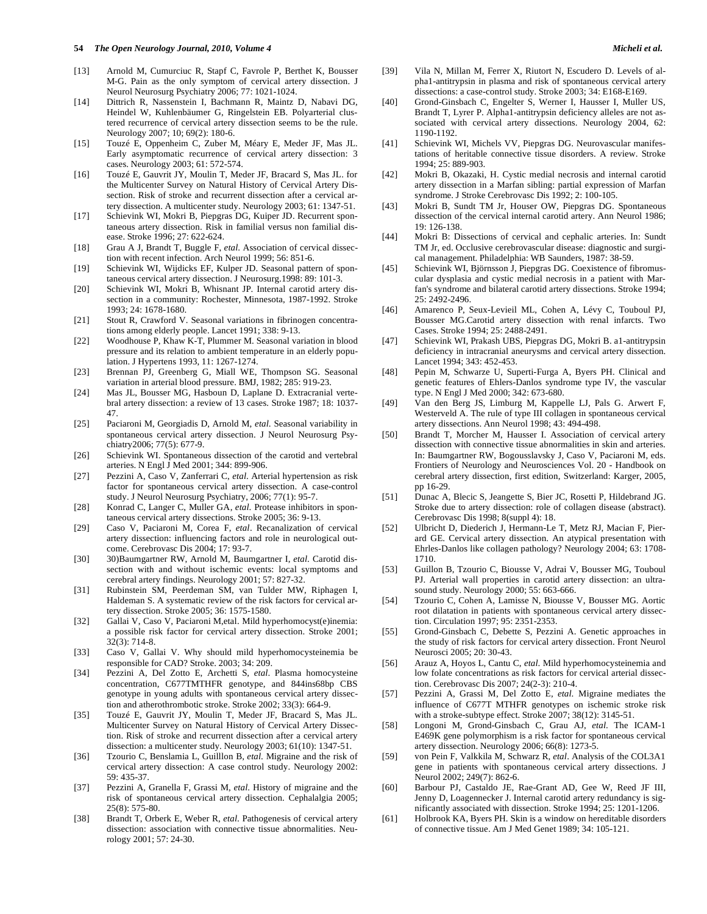- [13] Arnold M, Cumurciuc R, Stapf C, Favrole P, Berthet K, Bousser M-G. Pain as the only symptom of cervical artery dissection. J Neurol Neurosurg Psychiatry 2006; 77: 1021-1024.
- [14] Dittrich R, Nassenstein I, Bachmann R, Maintz D, Nabavi DG, Heindel W, Kuhlenbäumer G, Ringelstein EB. Polyarterial clustered recurrence of cervical artery dissection seems to be the rule. Neurology 2007; 10; 69(2): 180-6.
- [15] Touzé E, Oppenheim C, Zuber M, Méary E, Meder JF, Mas JL. Early asymptomatic recurrence of cervical artery dissection: 3 cases. Neurology 2003; 61: 572-574.
- [16] Touzé E, Gauvrit JY, Moulin T, Meder JF, Bracard S, Mas JL. for the Multicenter Survey on Natural History of Cervical Artery Dissection. Risk of stroke and recurrent dissection after a cervical artery dissection. A multicenter study. Neurology 2003; 61: 1347-51.
- [17] Schievink WI, Mokri B, Piepgras DG, Kuiper JD. Recurrent spontaneous artery dissection. Risk in familial versus non familial disease. Stroke 1996; 27: 622-624.
- [18] Grau A J, Brandt T, Buggle F, *etal*. Association of cervical dissection with recent infection. Arch Neurol 1999; 56: 851-6.
- [19] Schievink WI, Wijdicks EF, Kulper JD. Seasonal pattern of spontaneous cervical artery dissection. J Neurosurg.1998: 89: 101-3.
- [20] Schievink WI, Mokri B, Whisnant JP. Internal carotid artery dissection in a community: Rochester, Minnesota, 1987-1992. Stroke 1993; 24: 1678-1680.
- [21] Stout R, Crawford V. Seasonal variations in fibrinogen concentrations among elderly people. Lancet 1991; 338: 9-13.
- [22] Woodhouse P, Khaw K-T, Plummer M. Seasonal variation in blood pressure and its relation to ambient temperature in an elderly population. J Hypertens 1993, 11: 1267-1274.
- [23] Brennan PJ, Greenberg G, Miall WE, Thompson SG. Seasonal variation in arterial blood pressure. BMJ, 1982; 285: 919-23.
- [24] Mas JL, Bousser MG, Hasboun D, Laplane D. Extracranial vertebral artery dissection: a review of 13 cases. Stroke 1987; 18: 1037- 47.
- [25] Paciaroni M, Georgiadis D, Arnold M, *etal*. Seasonal variability in spontaneous cervical artery dissection. J Neurol Neurosurg Psychiatry2006; 77(5): 677-9.
- [26] Schievink WI. Spontaneous dissection of the carotid and vertebral arteries. N Engl J Med 2001; 344: 899-906.
- [27] Pezzini A, Caso V, Zanferrari C, *etal*. Arterial hypertension as risk factor for spontaneous cervical artery dissection. A case-control study. J Neurol Neurosurg Psychiatry, 2006; 77(1): 95-7.
- [28] Konrad C, Langer C, Muller GA, *etal*. Protease inhibitors in spontaneous cervical artery dissections. Stroke 2005; 36: 9-13.
- [29] Caso V, Paciaroni M, Corea F, *etal*. Recanalization of cervical artery dissection: influencing factors and role in neurological outcome. Cerebrovasc Dis 2004; 17: 93-7.
- [30] 30)Baumgartner RW, Arnold M, Baumgartner I, *etal*. Carotid dissection with and without ischemic events: local symptoms and cerebral artery findings. Neurology 2001; 57: 827-32.
- [31] Rubinstein SM, Peerdeman SM, van Tulder MW, Riphagen I, Haldeman S. A systematic review of the risk factors for cervical artery dissection. Stroke 2005; 36: 1575-1580.
- [32] Gallai V, Caso V, Paciaroni M,etal. Mild hyperhomocyst(e)inemia: a possible risk factor for cervical artery dissection. Stroke 2001; 32(3): 714-8.
- [33] Caso V, Gallai V. Why should mild hyperhomocysteinemia be responsible for CAD? Stroke. 2003; 34: 209.
- [34] Pezzini A, Del Zotto E, Archetti S, *etal*. Plasma homocysteine concentration, C677TMTHFR genotype, and 844ins68bp CBS genotype in young adults with spontaneous cervical artery dissection and atherothrombotic stroke. Stroke 2002; 33(3): 664-9.
- [35] Touzé E, Gauvrit JY, Moulin T, Meder JF, Bracard S, Mas JL. Multicenter Survey on Natural History of Cervical Artery Dissection. Risk of stroke and recurrent dissection after a cervical artery dissection: a multicenter study. Neurology 2003; 61(10): 1347-51.
- [36] Tzourio C, Benslamia L, Guilllon B, *etal*. Migraine and the risk of cervical artery dissection: A case control study. Neurology 2002: 59: 435-37.
- [37] Pezzini A, Granella F, Grassi M, *etal*. History of migraine and the risk of spontaneous cervical artery dissection. Cephalalgia 2005; 25(8): 575-80.
- [38] Brandt T, Orberk E, Weber R, *etal*. Pathogenesis of cervical artery dissection: association with connective tissue abnormalities. Neurology 2001; 57: 24-30.
- [39] Vila N, Millan M, Ferrer X, Riutort N, Escudero D. Levels of alpha1-antitrypsin in plasma and risk of spontaneous cervical artery dissections: a case-control study. Stroke 2003; 34: E168-E169.
- [40] Grond-Ginsbach C, Engelter S, Werner I, Hausser I, Muller US, Brandt T, Lyrer P. Alpha1-antitrypsin deficiency alleles are not associated with cervical artery dissections. Neurology 2004, 62: 1190-1192.
- [41] Schievink WI, Michels VV, Piepgras DG. Neurovascular manifestations of heritable connective tissue disorders. A review. Stroke 1994; 25: 889-903.
- [42] Mokri B, Okazaki, H. Cystic medial necrosis and internal carotid artery dissection in a Marfan sibling: partial expression of Marfan syndrome. J Stroke Cerebrovasc Dis 1992; 2: 100-105.
- [43] Mokri B, Sundt TM Jr, Houser OW, Piepgras DG. Spontaneous dissection of the cervical internal carotid artery. Ann Neurol 1986; 19: 126-138.
- [44] Mokri B: Dissections of cervical and cephalic arteries. In: Sundt TM Jr, ed. Occlusive cerebrovascular disease: diagnostic and surgical management. Philadelphia: WB Saunders, 1987: 38-59.
- [45] Schievink WI, Björnsson J, Piepgras DG. Coexistence of fibromuscular dysplasia and cystic medial necrosis in a patient with Marfan's syndrome and bilateral carotid artery dissections. Stroke 1994; 25: 2492-2496.
- [46] Amarenco P, Seux-Levieil ML, Cohen A, Lévy C, Touboul PJ, Bousser MG.Carotid artery dissection with renal infarcts. Two Cases. Stroke 1994; 25: 2488-2491.
- [47] Schievink WI, Prakash UBS, Piepgras DG, Mokri B. a1-antitrypsin deficiency in intracranial aneurysms and cervical artery dissection. Lancet 1994; 343: 452-453.
- [48] Pepin M, Schwarze U, Superti-Furga A, Byers PH. Clinical and genetic features of Ehlers-Danlos syndrome type IV, the vascular type. N Engl J Med 2000; 342: 673-680.
- [49] Van den Berg JS, Limburg M, Kappelle LJ, Pals G. Arwert F, Westerveld A. The rule of type III collagen in spontaneous cervical artery dissections. Ann Neurol 1998; 43: 494-498.
- [50] Brandt T, Morcher M, Hausser I. Association of cervical artery dissection with connective tissue abnormalities in skin and arteries. In: Baumgartner RW, Bogousslavsky J, Caso V, Paciaroni M, eds. Frontiers of Neurology and Neurosciences Vol. 20 - Handbook on cerebral artery dissection, first edition, Switzerland: Karger, 2005, pp 16-29.
- [51] Dunac A, Blecic S, Jeangette S, Bier JC, Rosetti P, Hildebrand JG. Stroke due to artery dissection: role of collagen disease (abstract). Cerebrovasc Dis 1998; 8(suppl 4): 18.
- [52] Ulbricht D, Diederich J, Hermann-Le T, Metz RJ, Macian F, Pierard GE. Cervical artery dissection. An atypical presentation with Ehrles-Danlos like collagen pathology? Neurology 2004; 63: 1708- 1710.
- [53] Guillon B, Tzourio C, Biousse V, Adrai V, Bousser MG, Touboul PJ. Arterial wall properties in carotid artery dissection: an ultrasound study. Neurology 2000; 55: 663-666.
- [54] Tzourio C, Cohen A, Lamisse N, Biousse V, Bousser MG. Aortic root dilatation in patients with spontaneous cervical artery dissection. Circulation 1997; 95: 2351-2353.
- [55] Grond-Ginsbach C, Debette S, Pezzini A. Genetic approaches in the study of risk factors for cervical artery dissection. Front Neurol Neurosci 2005; 20: 30-43.
- [56] Arauz A, Hoyos L, Cantu C, *etal*. Mild hyperhomocysteinemia and low folate concentrations as risk factors for cervical arterial dissection. Cerebrovasc Dis 2007; 24(2-3): 210-4.
- [57] Pezzini A, Grassi M, Del Zotto E, *etal*. Migraine mediates the influence of C677T MTHFR genotypes on ischemic stroke risk with a stroke-subtype effect. Stroke 2007; 38(12): 3145-51.
- [58] Longoni M, Grond-Ginsbach C, Grau AJ, *etal*. The ICAM-1 E469K gene polymorphism is a risk factor for spontaneous cervical artery dissection. Neurology 2006; 66(8): 1273-5.
- [59] von Pein F, Valkkila M, Schwarz R, *etal*. Analysis of the COL3A1 gene in patients with spontaneous cervical artery dissections. J Neurol 2002; 249(7): 862-6.
- [60] Barbour PJ, Castaldo JE, Rae-Grant AD, Gee W, Reed JF III, Jenny D, Loagennecker J. Internal carotid artery redundancy is significantly associated with dissection. Stroke 1994; 25: 1201-1206.
- [61] Holbrook KA, Byers PH. Skin is a window on hereditable disorders of connective tissue. Am J Med Genet 1989; 34: 105-121.